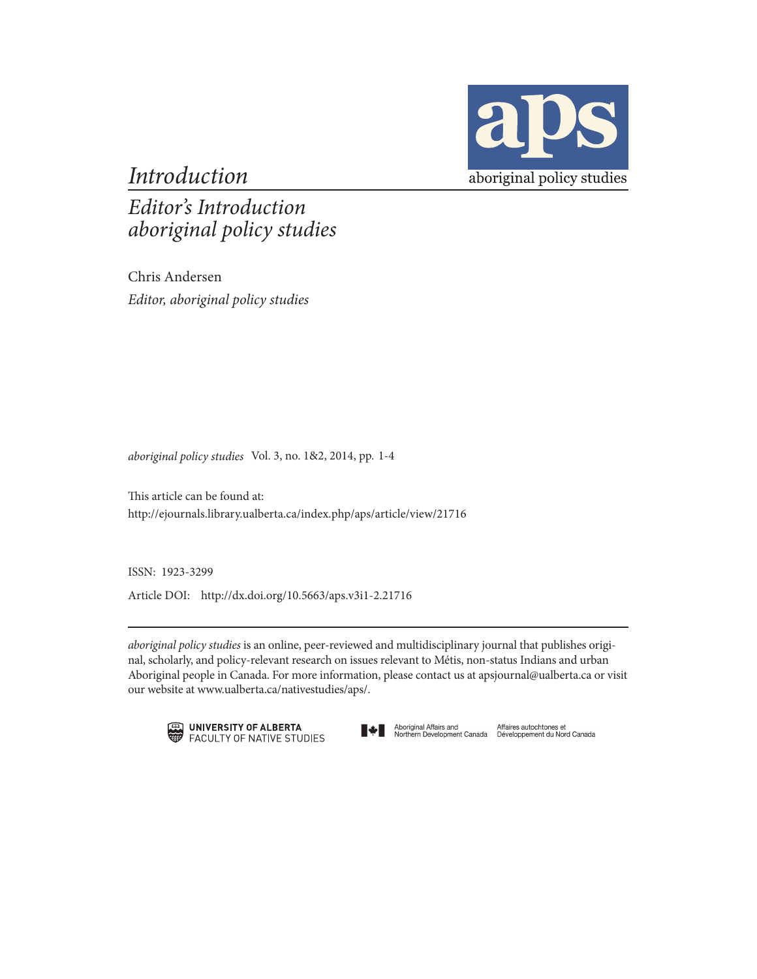

*Introduction*

*Editor's Introduction aboriginal policy studies*

Chris Andersen *Editor, aboriginal policy studies* 

*aboriginal policy studies* Vol. 3, no. 1&2, 2014, pp. 1-4

This article can be found at: http://ejournals.library.ualberta.ca/index.php/aps/article/view/21716

ISSN: 1923-3299

Article DOI: http://dx.doi.org/10.5663/aps.v3i1-2.21716

*aboriginal policy studies* is an online, peer-reviewed and multidisciplinary journal that publishes original, scholarly, and policy-relevant research on issues relevant to Métis, non-status Indians and urban Aboriginal people in Canada. For more information, please contact us at apsjournal@ualberta.ca or visit our website at www.ualberta.ca/nativestudies/aps/.





Aboriginal Affairs and Mfaires autochtones et<br>Northern Development Canada Développement du Nord Canada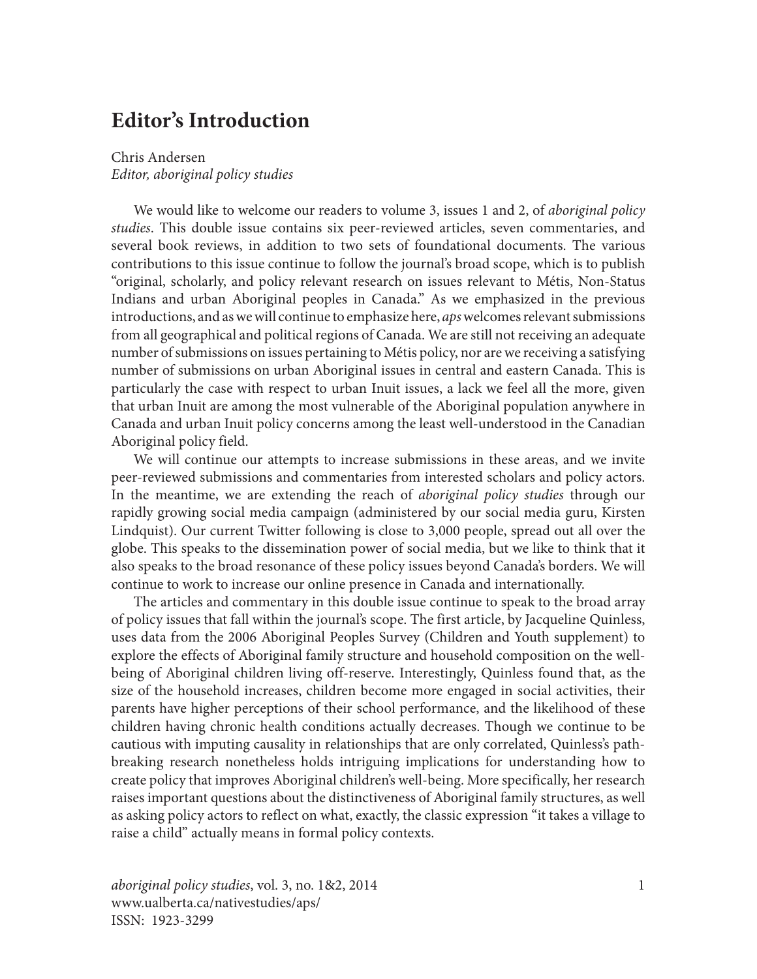## **Editor's Introduction**

## Chris Andersen *Editor, aboriginal policy studies*

We would like to welcome our readers to volume 3, issues 1 and 2, of *aboriginal policy studies*. This double issue contains six peer-reviewed articles, seven commentaries, and several book reviews, in addition to two sets of foundational documents. The various contributions to this issue continue to follow the journal's broad scope, which is to publish "original, scholarly, and policy relevant research on issues relevant to Métis, Non-Status Indians and urban Aboriginal peoples in Canada." As we emphasized in the previous introductions, and as we will continue to emphasize here, *aps* welcomes relevant submissions from all geographical and political regions of Canada. We are still not receiving an adequate number of submissions on issues pertaining to Métis policy, nor are we receiving a satisfying number of submissions on urban Aboriginal issues in central and eastern Canada. This is particularly the case with respect to urban Inuit issues, a lack we feel all the more, given that urban Inuit are among the most vulnerable of the Aboriginal population anywhere in Canada and urban Inuit policy concerns among the least well-understood in the Canadian Aboriginal policy field.

We will continue our attempts to increase submissions in these areas, and we invite peer-reviewed submissions and commentaries from interested scholars and policy actors. In the meantime, we are extending the reach of *aboriginal policy studies* through our rapidly growing social media campaign (administered by our social media guru, Kirsten Lindquist). Our current Twitter following is close to 3,000 people, spread out all over the globe. This speaks to the dissemination power of social media, but we like to think that it also speaks to the broad resonance of these policy issues beyond Canada's borders. We will continue to work to increase our online presence in Canada and internationally.

The articles and commentary in this double issue continue to speak to the broad array of policy issues that fall within the journal's scope. The first article, by Jacqueline Quinless, uses data from the 2006 Aboriginal Peoples Survey (Children and Youth supplement) to explore the effects of Aboriginal family structure and household composition on the wellbeing of Aboriginal children living off-reserve. Interestingly, Quinless found that, as the size of the household increases, children become more engaged in social activities, their parents have higher perceptions of their school performance, and the likelihood of these children having chronic health conditions actually decreases. Though we continue to be cautious with imputing causality in relationships that are only correlated, Quinless's pathbreaking research nonetheless holds intriguing implications for understanding how to create policy that improves Aboriginal children's well-being. More specifically, her research raises important questions about the distinctiveness of Aboriginal family structures, as well as asking policy actors to reflect on what, exactly, the classic expression "it takes a village to raise a child" actually means in formal policy contexts.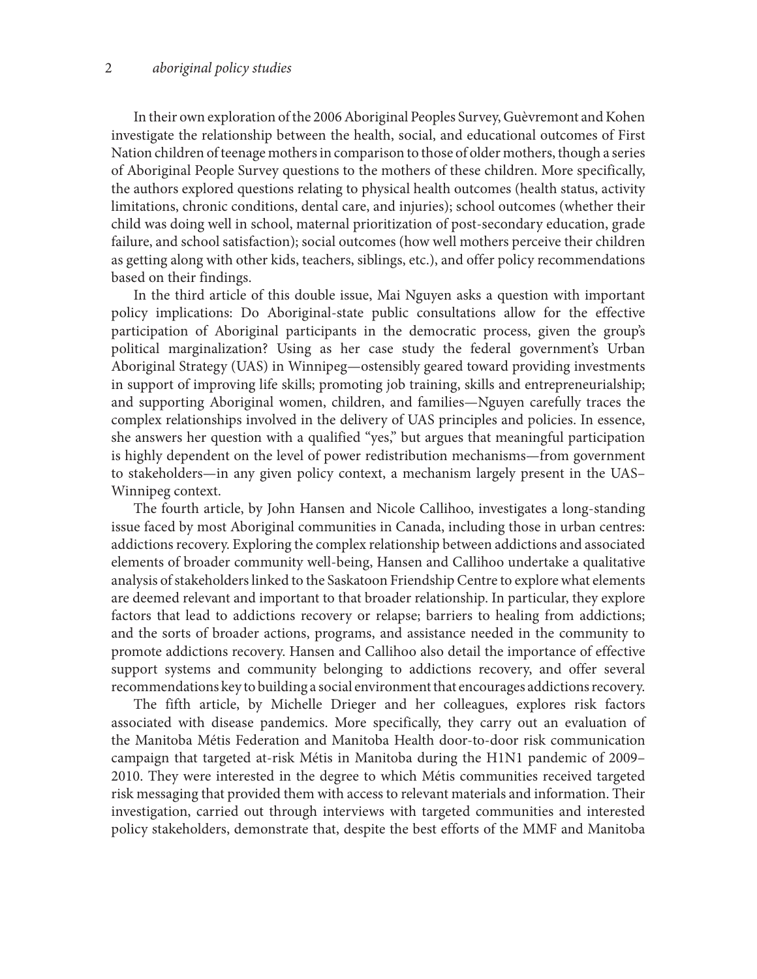In their own exploration of the 2006 Aboriginal Peoples Survey, Guèvremont and Kohen investigate the relationship between the health, social, and educational outcomes of First Nation children of teenage mothers in comparison to those of older mothers, though a series of Aboriginal People Survey questions to the mothers of these children. More specifically, the authors explored questions relating to physical health outcomes (health status, activity limitations, chronic conditions, dental care, and injuries); school outcomes (whether their child was doing well in school, maternal prioritization of post-secondary education, grade failure, and school satisfaction); social outcomes (how well mothers perceive their children as getting along with other kids, teachers, siblings, etc.), and offer policy recommendations based on their findings.

In the third article of this double issue, Mai Nguyen asks a question with important policy implications: Do Aboriginal-state public consultations allow for the effective participation of Aboriginal participants in the democratic process, given the group's political marginalization? Using as her case study the federal government's Urban Aboriginal Strategy (UAS) in Winnipeg—ostensibly geared toward providing investments in support of improving life skills; promoting job training, skills and entrepreneurialship; and supporting Aboriginal women, children, and families—Nguyen carefully traces the complex relationships involved in the delivery of UAS principles and policies. In essence, she answers her question with a qualified "yes," but argues that meaningful participation is highly dependent on the level of power redistribution mechanisms—from government to stakeholders—in any given policy context, a mechanism largely present in the UAS– Winnipeg context.

The fourth article, by John Hansen and Nicole Callihoo, investigates a long-standing issue faced by most Aboriginal communities in Canada, including those in urban centres: addictions recovery. Exploring the complex relationship between addictions and associated elements of broader community well-being, Hansen and Callihoo undertake a qualitative analysis of stakeholders linked to the Saskatoon Friendship Centre to explore what elements are deemed relevant and important to that broader relationship. In particular, they explore factors that lead to addictions recovery or relapse; barriers to healing from addictions; and the sorts of broader actions, programs, and assistance needed in the community to promote addictions recovery. Hansen and Callihoo also detail the importance of effective support systems and community belonging to addictions recovery, and offer several recommendations key to building a social environment that encourages addictions recovery.

The fifth article, by Michelle Drieger and her colleagues, explores risk factors associated with disease pandemics. More specifically, they carry out an evaluation of the Manitoba Métis Federation and Manitoba Health door-to-door risk communication campaign that targeted at-risk Métis in Manitoba during the H1N1 pandemic of 2009– 2010. They were interested in the degree to which Métis communities received targeted risk messaging that provided them with access to relevant materials and information. Their investigation, carried out through interviews with targeted communities and interested policy stakeholders, demonstrate that, despite the best efforts of the MMF and Manitoba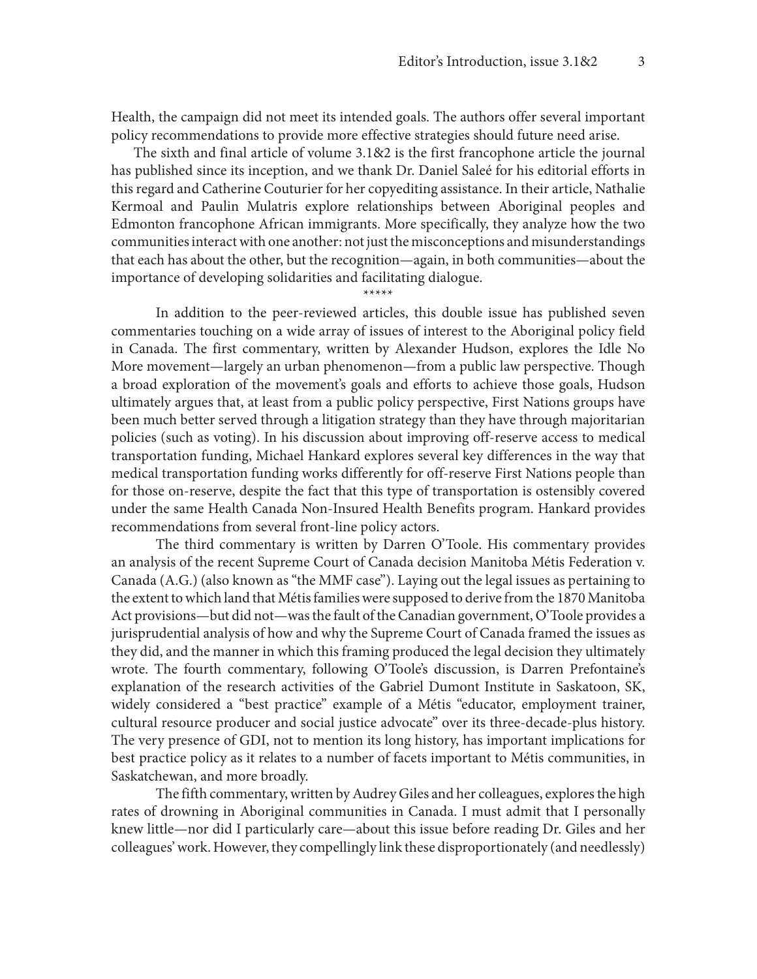Health, the campaign did not meet its intended goals. The authors offer several important policy recommendations to provide more effective strategies should future need arise.

The sixth and final article of volume 3.1&2 is the first francophone article the journal has published since its inception, and we thank Dr. Daniel Saleé for his editorial efforts in this regard and Catherine Couturier for her copyediting assistance. In their article, Nathalie Kermoal and Paulin Mulatris explore relationships between Aboriginal peoples and Edmonton francophone African immigrants. More specifically, they analyze how the two communities interact with one another: not just the misconceptions and misunderstandings that each has about the other, but the recognition—again, in both communities—about the importance of developing solidarities and facilitating dialogue.

\*\*\*\*\*

In addition to the peer-reviewed articles, this double issue has published seven commentaries touching on a wide array of issues of interest to the Aboriginal policy field in Canada. The first commentary, written by Alexander Hudson, explores the Idle No More movement—largely an urban phenomenon—from a public law perspective. Though a broad exploration of the movement's goals and efforts to achieve those goals, Hudson ultimately argues that, at least from a public policy perspective, First Nations groups have been much better served through a litigation strategy than they have through majoritarian policies (such as voting). In his discussion about improving off-reserve access to medical transportation funding, Michael Hankard explores several key differences in the way that medical transportation funding works differently for off-reserve First Nations people than for those on-reserve, despite the fact that this type of transportation is ostensibly covered under the same Health Canada Non-Insured Health Benefits program. Hankard provides recommendations from several front-line policy actors.

The third commentary is written by Darren O'Toole. His commentary provides an analysis of the recent Supreme Court of Canada decision Manitoba Métis Federation v. Canada (A.G.) (also known as "the MMF case"). Laying out the legal issues as pertaining to the extent to which land that Métis families were supposed to derive from the 1870 Manitoba Act provisions—but did not—was the fault of the Canadian government, O'Toole provides a jurisprudential analysis of how and why the Supreme Court of Canada framed the issues as they did, and the manner in which this framing produced the legal decision they ultimately wrote. The fourth commentary, following O'Toole's discussion, is Darren Prefontaine's explanation of the research activities of the Gabriel Dumont Institute in Saskatoon, SK, widely considered a "best practice" example of a Métis "educator, employment trainer, cultural resource producer and social justice advocate" over its three-decade-plus history. The very presence of GDI, not to mention its long history, has important implications for best practice policy as it relates to a number of facets important to Métis communities, in Saskatchewan, and more broadly.

The fifth commentary, written by Audrey Giles and her colleagues, explores the high rates of drowning in Aboriginal communities in Canada. I must admit that I personally knew little—nor did I particularly care—about this issue before reading Dr. Giles and her colleagues' work. However, they compellingly link these disproportionately (and needlessly)